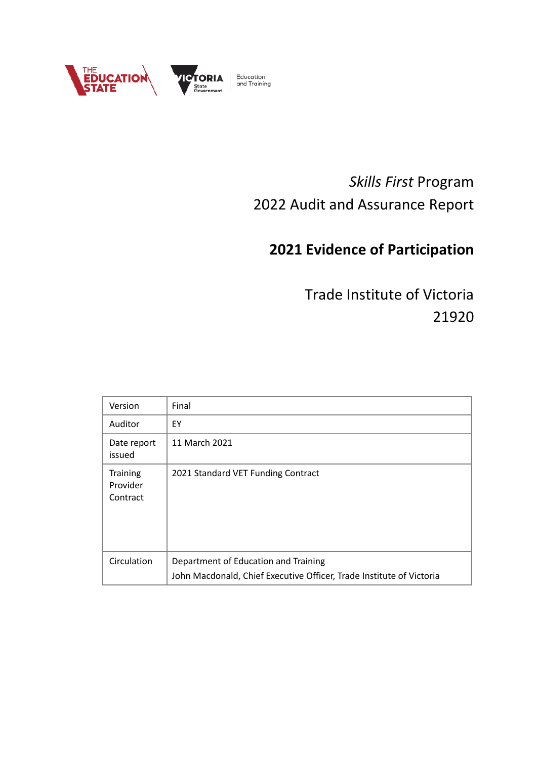

# *Skills First* Program 2022 Audit and Assurance Report

# **2021 Evidence of Participation**

Trade Institute of Victoria 21920

| Version                                 | Final                                                                                                        |
|-----------------------------------------|--------------------------------------------------------------------------------------------------------------|
| Auditor                                 | EY                                                                                                           |
| Date report<br>issued                   | 11 March 2021                                                                                                |
| <b>Training</b><br>Provider<br>Contract | 2021 Standard VET Funding Contract                                                                           |
| Circulation                             | Department of Education and Training<br>John Macdonald, Chief Executive Officer, Trade Institute of Victoria |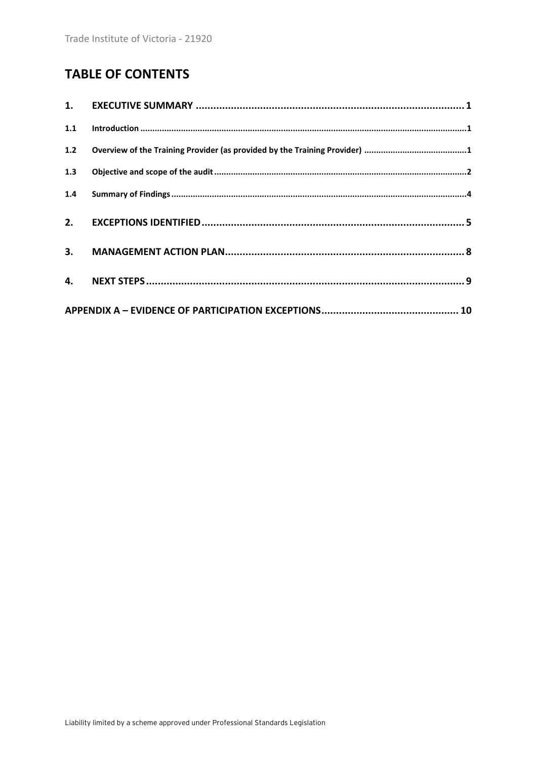## **TABLE OF CONTENTS**

| 1.1   |  |
|-------|--|
| $1.2$ |  |
| 1.3   |  |
| 1.4   |  |
|       |  |
|       |  |
|       |  |
|       |  |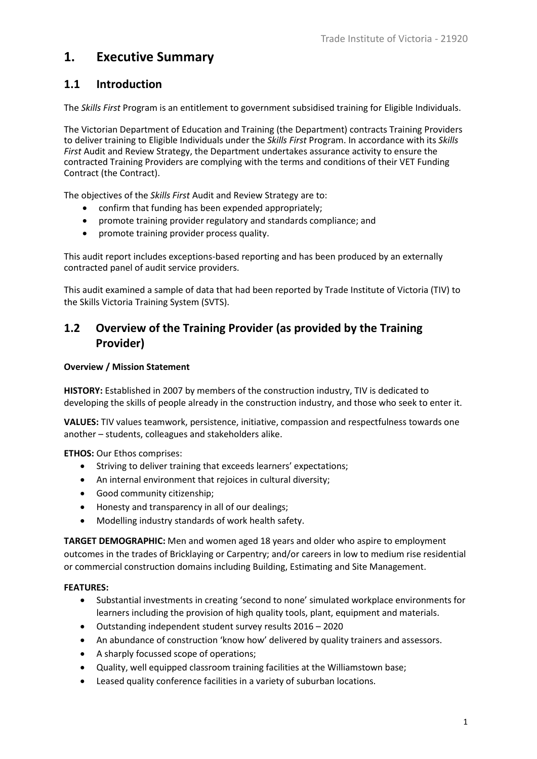## <span id="page-2-0"></span>**1. Executive Summary**

### <span id="page-2-1"></span>**1.1 Introduction**

The *Skills First* Program is an entitlement to government subsidised training for Eligible Individuals.

The Victorian Department of Education and Training (the Department) contracts Training Providers to deliver training to Eligible Individuals under the *Skills First* Program. In accordance with its *Skills First* Audit and Review Strategy, the Department undertakes assurance activity to ensure the contracted Training Providers are complying with the terms and conditions of their VET Funding Contract (the Contract).

The objectives of the *Skills First* Audit and Review Strategy are to:

- confirm that funding has been expended appropriately;
- promote training provider regulatory and standards compliance; and
- promote training provider process quality.

This audit report includes exceptions-based reporting and has been produced by an externally contracted panel of audit service providers.

This audit examined a sample of data that had been reported by Trade Institute of Victoria (TIV) to the Skills Victoria Training System (SVTS).

### <span id="page-2-2"></span>**1.2 Overview of the Training Provider (as provided by the Training Provider)**

#### **Overview / Mission Statement**

**HISTORY:** Established in 2007 by members of the construction industry, TIV is dedicated to developing the skills of people already in the construction industry, and those who seek to enter it.

**VALUES:** TIV values teamwork, persistence, initiative, compassion and respectfulness towards one another – students, colleagues and stakeholders alike.

**ETHOS:** Our Ethos comprises:

- Striving to deliver training that exceeds learners' expectations;
- An internal environment that rejoices in cultural diversity;
- Good community citizenship;
- Honesty and transparency in all of our dealings;
- Modelling industry standards of work health safety.

**TARGET DEMOGRAPHIC:** Men and women aged 18 years and older who aspire to employment outcomes in the trades of Bricklaying or Carpentry; and/or careers in low to medium rise residential or commercial construction domains including Building, Estimating and Site Management.

#### **FEATURES:**

- Substantial investments in creating 'second to none' simulated workplace environments for learners including the provision of high quality tools, plant, equipment and materials.
- Outstanding independent student survey results 2016 2020
- An abundance of construction 'know how' delivered by quality trainers and assessors.
- A sharply focussed scope of operations;
- Quality, well equipped classroom training facilities at the Williamstown base;
- Leased quality conference facilities in a variety of suburban locations.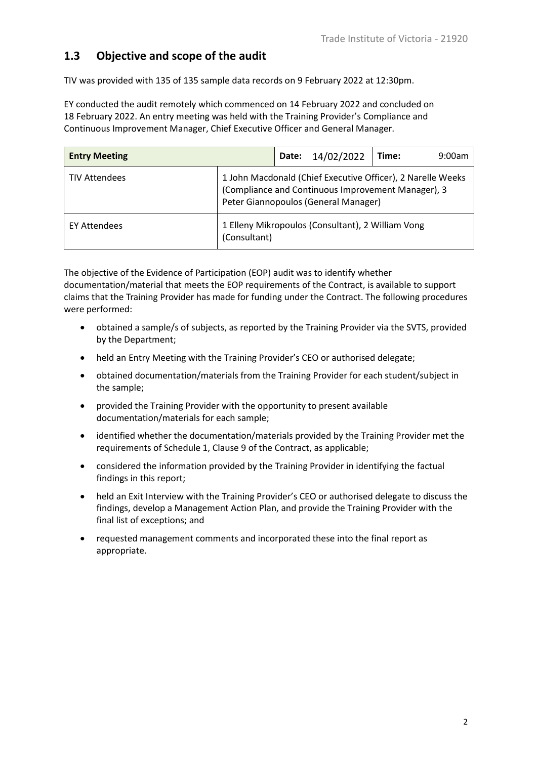### <span id="page-3-0"></span>**1.3 Objective and scope of the audit**

TIV was provided with 135 of 135 sample data records on 9 February 2022 at 12:30pm.

EY conducted the audit remotely which commenced on 14 February 2022 and concluded on 18 February 2022. An entry meeting was held with the Training Provider's Compliance and Continuous Improvement Manager, Chief Executive Officer and General Manager.

| <b>Entry Meeting</b> | <b>Date:</b> | 14/02/2022                                                                                                                                                | Time: | 9:00am |  |  |
|----------------------|--------------|-----------------------------------------------------------------------------------------------------------------------------------------------------------|-------|--------|--|--|
| <b>TIV Attendees</b> |              | 1 John Macdonald (Chief Executive Officer), 2 Narelle Weeks<br>(Compliance and Continuous Improvement Manager), 3<br>Peter Giannopoulos (General Manager) |       |        |  |  |
| <b>EY Attendees</b>  | (Consultant) | 1 Elleny Mikropoulos (Consultant), 2 William Vong                                                                                                         |       |        |  |  |

The objective of the Evidence of Participation (EOP) audit was to identify whether documentation/material that meets the EOP requirements of the Contract, is available to support claims that the Training Provider has made for funding under the Contract. The following procedures were performed:

- obtained a sample/s of subjects, as reported by the Training Provider via the SVTS, provided by the Department;
- held an Entry Meeting with the Training Provider's CEO or authorised delegate;
- obtained documentation/materials from the Training Provider for each student/subject in the sample;
- provided the Training Provider with the opportunity to present available documentation/materials for each sample;
- identified whether the documentation/materials provided by the Training Provider met the requirements of Schedule 1, Clause 9 of the Contract, as applicable;
- considered the information provided by the Training Provider in identifying the factual findings in this report;
- held an Exit Interview with the Training Provider's CEO or authorised delegate to discuss the findings, develop a Management Action Plan, and provide the Training Provider with the final list of exceptions; and
- requested management comments and incorporated these into the final report as appropriate.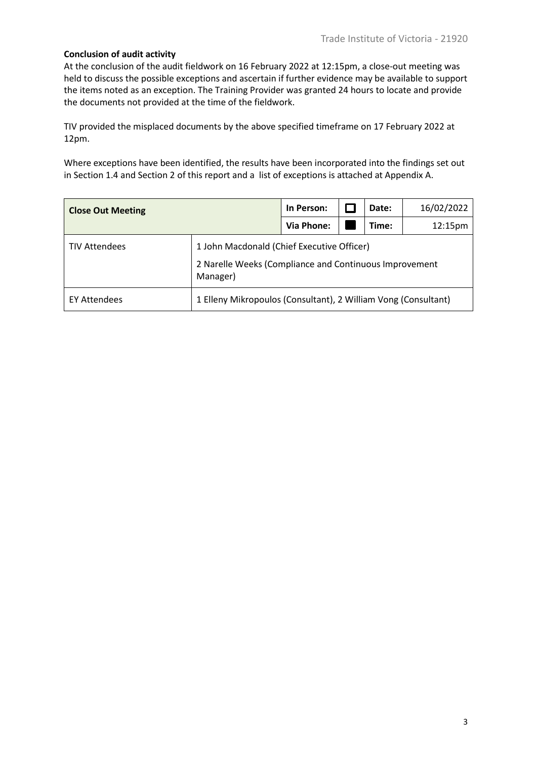#### **Conclusion of audit activity**

At the conclusion of the audit fieldwork on 16 February 2022 at 12:15pm, a close-out meeting was held to discuss the possible exceptions and ascertain if further evidence may be available to support the items noted as an exception. The Training Provider was granted 24 hours to locate and provide the documents not provided at the time of the fieldwork.

TIV provided the misplaced documents by the above specified timeframe on 17 February 2022 at 12pm.

Where exceptions have been identified, the results have been incorporated into the findings set out in Section 1.4 and Section 2 of this report and a list of exceptions is attached at Appendix A.

| <b>Close Out Meeting</b> | In Person:                                                                                                       |            | Date: | 16/02/2022 |                     |  |
|--------------------------|------------------------------------------------------------------------------------------------------------------|------------|-------|------------|---------------------|--|
|                          |                                                                                                                  | Via Phone: |       | Time:      | 12:15 <sub>pm</sub> |  |
| <b>TIV Attendees</b>     | 1 John Macdonald (Chief Executive Officer)<br>2 Narelle Weeks (Compliance and Continuous Improvement<br>Manager) |            |       |            |                     |  |
| <b>EY Attendees</b>      | 1 Elleny Mikropoulos (Consultant), 2 William Vong (Consultant)                                                   |            |       |            |                     |  |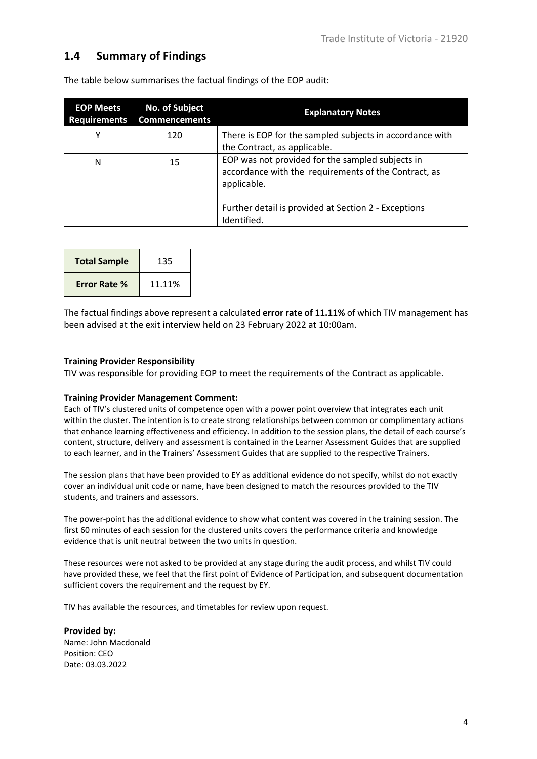### <span id="page-5-0"></span>**1.4 Summary of Findings**

| <b>EOP Meets</b><br><b>Requirements</b> | <b>No. of Subject</b><br><b>Commencements</b> | <b>Explanatory Notes</b>                                                                                                                                                                       |
|-----------------------------------------|-----------------------------------------------|------------------------------------------------------------------------------------------------------------------------------------------------------------------------------------------------|
| Y                                       | 120                                           | There is EOP for the sampled subjects in accordance with<br>the Contract, as applicable.                                                                                                       |
| N                                       | 15                                            | EOP was not provided for the sampled subjects in<br>accordance with the requirements of the Contract, as<br>applicable.<br>Further detail is provided at Section 2 - Exceptions<br>Identified. |

The table below summarises the factual findings of the EOP audit:

| <b>Total Sample</b> | 135    |
|---------------------|--------|
| <b>Error Rate %</b> | 11.11% |

The factual findings above represent a calculated **error rate of 11.11%** of which TIV management has been advised at the exit interview held on 23 February 2022 at 10:00am.

#### **Training Provider Responsibility**

TIV was responsible for providing EOP to meet the requirements of the Contract as applicable.

#### **Training Provider Management Comment:**

Each of TIV's clustered units of competence open with a power point overview that integrates each unit within the cluster. The intention is to create strong relationships between common or complimentary actions that enhance learning effectiveness and efficiency. In addition to the session plans, the detail of each course's content, structure, delivery and assessment is contained in the Learner Assessment Guides that are supplied to each learner, and in the Trainers' Assessment Guides that are supplied to the respective Trainers.

The session plans that have been provided to EY as additional evidence do not specify, whilst do not exactly cover an individual unit code or name, have been designed to match the resources provided to the TIV students, and trainers and assessors.

The power-point has the additional evidence to show what content was covered in the training session. The first 60 minutes of each session for the clustered units covers the performance criteria and knowledge evidence that is unit neutral between the two units in question.

These resources were not asked to be provided at any stage during the audit process, and whilst TIV could have provided these, we feel that the first point of Evidence of Participation, and subsequent documentation sufficient covers the requirement and the request by EY.

TIV has available the resources, and timetables for review upon request.

**Provided by:**  Name: John Macdonald Position: CEO Date: 03.03.2022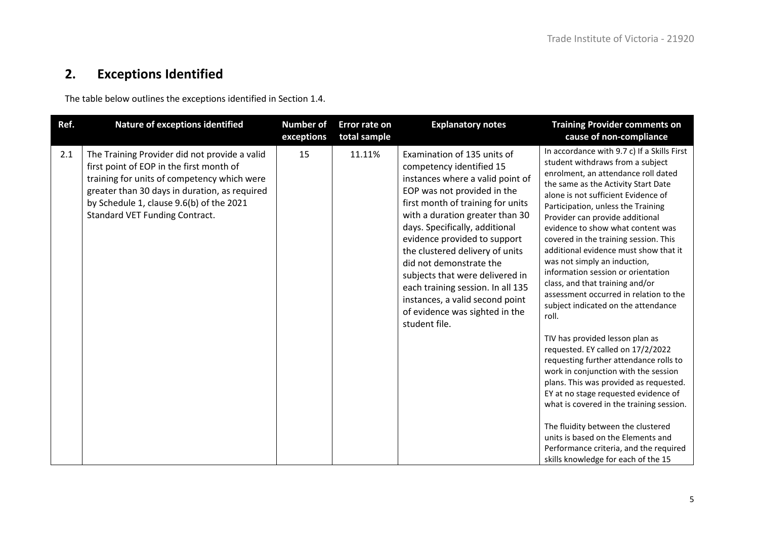## **2. Exceptions Identified**

The table below outlines the exceptions identified in Section 1.4.

<span id="page-6-0"></span>

| Ref. | <b>Nature of exceptions identified</b>                                                                                                                                                                                                                                         | <b>Number of</b><br>exceptions | Error rate on<br>total sample | <b>Explanatory notes</b>                                                                                                                                                                                                                                                                                                                                                                                                                                                                         | <b>Training Provider comments on</b><br>cause of non-compliance                                                                                                                                                                                                                                                                                                                                                                                                                                                                                                                                                                                                                                                                                                                                                                                                                                                                                                                                                                                              |
|------|--------------------------------------------------------------------------------------------------------------------------------------------------------------------------------------------------------------------------------------------------------------------------------|--------------------------------|-------------------------------|--------------------------------------------------------------------------------------------------------------------------------------------------------------------------------------------------------------------------------------------------------------------------------------------------------------------------------------------------------------------------------------------------------------------------------------------------------------------------------------------------|--------------------------------------------------------------------------------------------------------------------------------------------------------------------------------------------------------------------------------------------------------------------------------------------------------------------------------------------------------------------------------------------------------------------------------------------------------------------------------------------------------------------------------------------------------------------------------------------------------------------------------------------------------------------------------------------------------------------------------------------------------------------------------------------------------------------------------------------------------------------------------------------------------------------------------------------------------------------------------------------------------------------------------------------------------------|
| 2.1  | The Training Provider did not provide a valid<br>first point of EOP in the first month of<br>training for units of competency which were<br>greater than 30 days in duration, as required<br>by Schedule 1, clause 9.6(b) of the 2021<br><b>Standard VET Funding Contract.</b> | 15                             | 11.11%                        | Examination of 135 units of<br>competency identified 15<br>instances where a valid point of<br>EOP was not provided in the<br>first month of training for units<br>with a duration greater than 30<br>days. Specifically, additional<br>evidence provided to support<br>the clustered delivery of units<br>did not demonstrate the<br>subjects that were delivered in<br>each training session. In all 135<br>instances, a valid second point<br>of evidence was sighted in the<br>student file. | In accordance with 9.7 c) If a Skills First<br>student withdraws from a subject<br>enrolment, an attendance roll dated<br>the same as the Activity Start Date<br>alone is not sufficient Evidence of<br>Participation, unless the Training<br>Provider can provide additional<br>evidence to show what content was<br>covered in the training session. This<br>additional evidence must show that it<br>was not simply an induction,<br>information session or orientation<br>class, and that training and/or<br>assessment occurred in relation to the<br>subject indicated on the attendance<br>roll.<br>TIV has provided lesson plan as<br>requested. EY called on 17/2/2022<br>requesting further attendance rolls to<br>work in conjunction with the session<br>plans. This was provided as requested.<br>EY at no stage requested evidence of<br>what is covered in the training session.<br>The fluidity between the clustered<br>units is based on the Elements and<br>Performance criteria, and the required<br>skills knowledge for each of the 15 |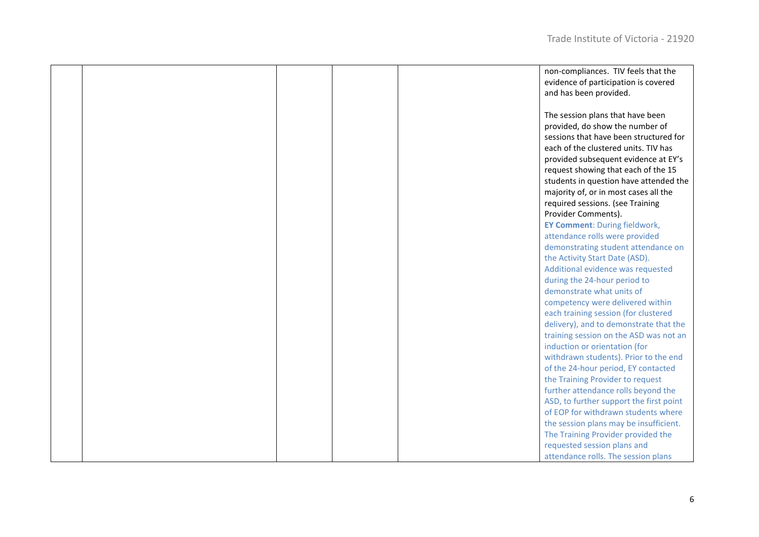|  |  | non-compliances. TIV feels that the     |
|--|--|-----------------------------------------|
|  |  | evidence of participation is covered    |
|  |  | and has been provided.                  |
|  |  |                                         |
|  |  | The session plans that have been        |
|  |  | provided, do show the number of         |
|  |  | sessions that have been structured for  |
|  |  | each of the clustered units. TIV has    |
|  |  |                                         |
|  |  | provided subsequent evidence at EY's    |
|  |  | request showing that each of the 15     |
|  |  | students in question have attended the  |
|  |  | majority of, or in most cases all the   |
|  |  | required sessions. (see Training        |
|  |  | Provider Comments).                     |
|  |  | <b>EY Comment: During fieldwork,</b>    |
|  |  | attendance rolls were provided          |
|  |  | demonstrating student attendance on     |
|  |  | the Activity Start Date (ASD).          |
|  |  | Additional evidence was requested       |
|  |  | during the 24-hour period to            |
|  |  | demonstrate what units of               |
|  |  | competency were delivered within        |
|  |  | each training session (for clustered    |
|  |  | delivery), and to demonstrate that the  |
|  |  | training session on the ASD was not an  |
|  |  | induction or orientation (for           |
|  |  |                                         |
|  |  | withdrawn students). Prior to the end   |
|  |  | of the 24-hour period, EY contacted     |
|  |  | the Training Provider to request        |
|  |  | further attendance rolls beyond the     |
|  |  | ASD, to further support the first point |
|  |  | of EOP for withdrawn students where     |
|  |  | the session plans may be insufficient.  |
|  |  | The Training Provider provided the      |
|  |  | requested session plans and             |
|  |  | attendance rolls. The session plans     |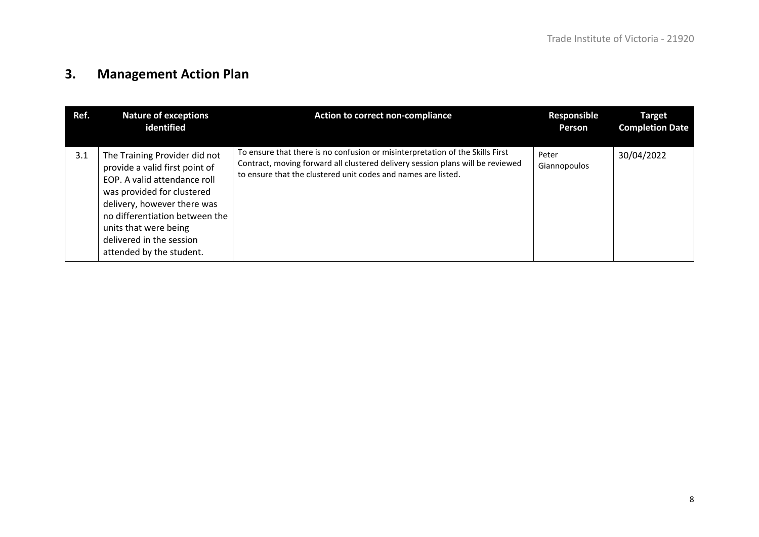## **3. Management Action Plan**

<span id="page-9-0"></span>

| Ref. | <b>Nature of exceptions</b><br>identified                                                                                                                                                                                                                                       | <b>Action to correct non-compliance</b>                                                                                                                                                                                          | Responsible<br>Person | <b>Target</b><br><b>Completion Date</b> |
|------|---------------------------------------------------------------------------------------------------------------------------------------------------------------------------------------------------------------------------------------------------------------------------------|----------------------------------------------------------------------------------------------------------------------------------------------------------------------------------------------------------------------------------|-----------------------|-----------------------------------------|
| 3.1  | The Training Provider did not<br>provide a valid first point of<br>EOP. A valid attendance roll<br>was provided for clustered<br>delivery, however there was<br>no differentiation between the<br>units that were being<br>delivered in the session<br>attended by the student. | To ensure that there is no confusion or misinterpretation of the Skills First<br>Contract, moving forward all clustered delivery session plans will be reviewed<br>to ensure that the clustered unit codes and names are listed. | Peter<br>Giannopoulos | 30/04/2022                              |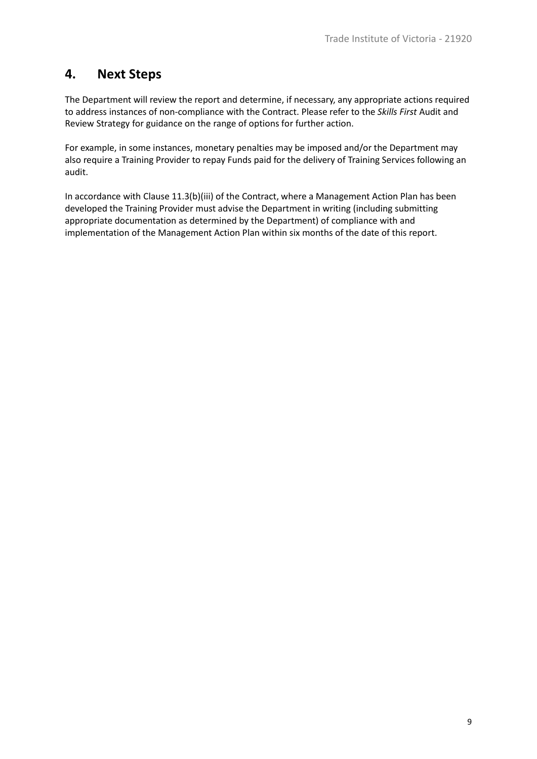### <span id="page-10-0"></span>**4. Next Steps**

The Department will review the report and determine, if necessary, any appropriate actions required to address instances of non-compliance with the Contract. Please refer to the *Skills First* Audit and Review Strategy for guidance on the range of options for further action.

For example, in some instances, monetary penalties may be imposed and/or the Department may also require a Training Provider to repay Funds paid for the delivery of Training Services following an audit.

In accordance with Clause 11.3(b)(iii) of the Contract, where a Management Action Plan has been developed the Training Provider must advise the Department in writing (including submitting appropriate documentation as determined by the Department) of compliance with and implementation of the Management Action Plan within six months of the date of this report.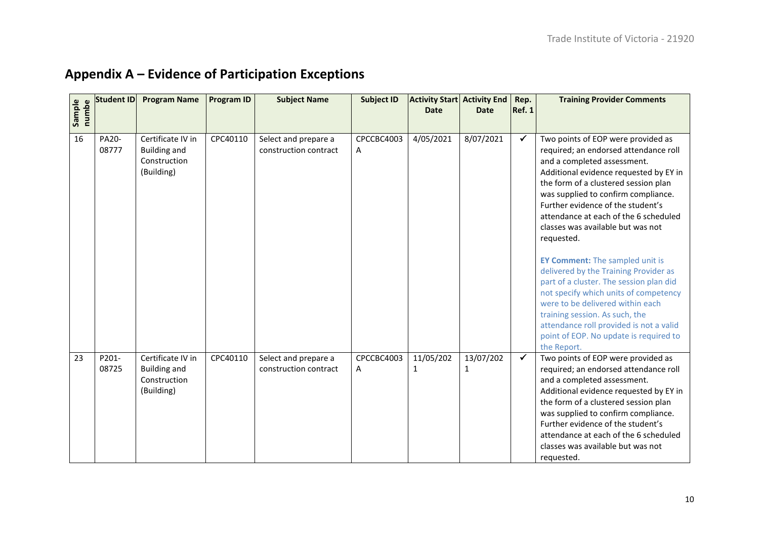<span id="page-11-0"></span>

| Sample<br>numbe | <b>Student ID</b> | <b>Program Name</b>                                                    | <b>Program ID</b> | <b>Subject Name</b>                           | <b>Subject ID</b> | <b>Activity Start Activity End</b><br><b>Date</b> | <b>Date</b>    | Rep.<br><b>Ref. 1</b> | <b>Training Provider Comments</b>                                                                                                                                                                                                                                                                                                                                                                                                                                                                                                                                                                                                                                                                                     |
|-----------------|-------------------|------------------------------------------------------------------------|-------------------|-----------------------------------------------|-------------------|---------------------------------------------------|----------------|-----------------------|-----------------------------------------------------------------------------------------------------------------------------------------------------------------------------------------------------------------------------------------------------------------------------------------------------------------------------------------------------------------------------------------------------------------------------------------------------------------------------------------------------------------------------------------------------------------------------------------------------------------------------------------------------------------------------------------------------------------------|
| 16              | PA20-<br>08777    | Certificate IV in<br><b>Building and</b><br>Construction<br>(Building) | CPC40110          | Select and prepare a<br>construction contract | CPCCBC4003<br>A   | 4/05/2021                                         | 8/07/2021      | ✓                     | Two points of EOP were provided as<br>required; an endorsed attendance roll<br>and a completed assessment.<br>Additional evidence requested by EY in<br>the form of a clustered session plan<br>was supplied to confirm compliance.<br>Further evidence of the student's<br>attendance at each of the 6 scheduled<br>classes was available but was not<br>requested.<br><b>EY Comment:</b> The sampled unit is<br>delivered by the Training Provider as<br>part of a cluster. The session plan did<br>not specify which units of competency<br>were to be delivered within each<br>training session. As such, the<br>attendance roll provided is not a valid<br>point of EOP. No update is required to<br>the Report. |
| 23              | P201-<br>08725    | Certificate IV in<br><b>Building and</b><br>Construction<br>(Building) | CPC40110          | Select and prepare a<br>construction contract | CPCCBC4003<br>Α   | 11/05/202<br>1                                    | 13/07/202<br>1 | $\checkmark$          | Two points of EOP were provided as<br>required; an endorsed attendance roll<br>and a completed assessment.<br>Additional evidence requested by EY in<br>the form of a clustered session plan<br>was supplied to confirm compliance.<br>Further evidence of the student's<br>attendance at each of the 6 scheduled<br>classes was available but was not<br>requested.                                                                                                                                                                                                                                                                                                                                                  |

## **Appendix A – Evidence of Participation Exceptions**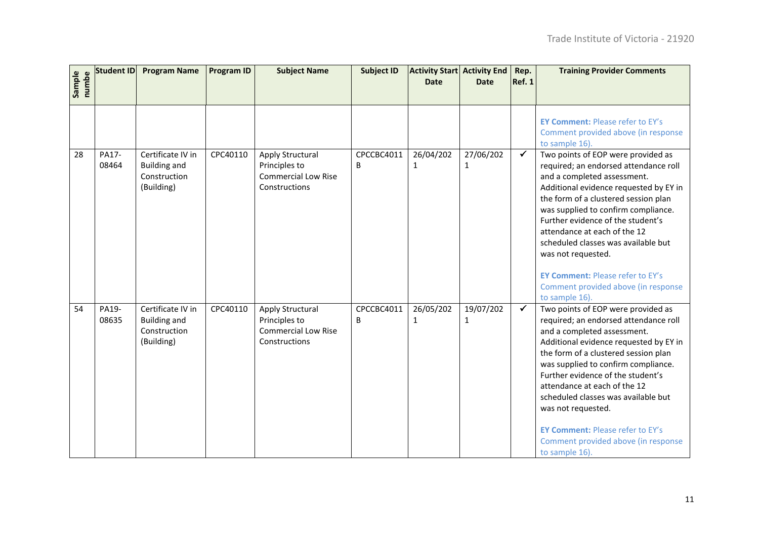| Sample<br>numbe | <b>Student ID</b> | <b>Program Name</b>                                                    | <b>Program ID</b> | <b>Subject Name</b>                                                              | <b>Subject ID</b> | <b>Activity Start Activity End</b><br><b>Date</b> | <b>Date</b>               | Rep.<br>Ref. 1 | <b>Training Provider Comments</b>                                                                                                                                                                                                                                                                                                                                                                                                                                         |
|-----------------|-------------------|------------------------------------------------------------------------|-------------------|----------------------------------------------------------------------------------|-------------------|---------------------------------------------------|---------------------------|----------------|---------------------------------------------------------------------------------------------------------------------------------------------------------------------------------------------------------------------------------------------------------------------------------------------------------------------------------------------------------------------------------------------------------------------------------------------------------------------------|
|                 |                   |                                                                        |                   |                                                                                  |                   |                                                   |                           |                | <b>EY Comment: Please refer to EY's</b><br>Comment provided above (in response<br>to sample 16).                                                                                                                                                                                                                                                                                                                                                                          |
| 28              | PA17-<br>08464    | Certificate IV in<br><b>Building and</b><br>Construction<br>(Building) | CPC40110          | Apply Structural<br>Principles to<br><b>Commercial Low Rise</b><br>Constructions | CPCCBC4011<br>B   | 26/04/202<br>$\mathbf{1}$                         | 27/06/202<br>$\mathbf{1}$ | $\checkmark$   | Two points of EOP were provided as<br>required; an endorsed attendance roll<br>and a completed assessment.<br>Additional evidence requested by EY in<br>the form of a clustered session plan<br>was supplied to confirm compliance.<br>Further evidence of the student's<br>attendance at each of the 12<br>scheduled classes was available but<br>was not requested.<br><b>EY Comment: Please refer to EY's</b><br>Comment provided above (in response<br>to sample 16). |
| 54              | PA19-<br>08635    | Certificate IV in<br><b>Building and</b><br>Construction<br>(Building) | CPC40110          | Apply Structural<br>Principles to<br><b>Commercial Low Rise</b><br>Constructions | CPCCBC4011<br>B   | 26/05/202<br>$\mathbf{1}$                         | 19/07/202<br>$\mathbf{1}$ | $\checkmark$   | Two points of EOP were provided as<br>required; an endorsed attendance roll<br>and a completed assessment.<br>Additional evidence requested by EY in<br>the form of a clustered session plan<br>was supplied to confirm compliance.<br>Further evidence of the student's<br>attendance at each of the 12<br>scheduled classes was available but<br>was not requested.<br><b>EY Comment: Please refer to EY's</b><br>Comment provided above (in response<br>to sample 16). |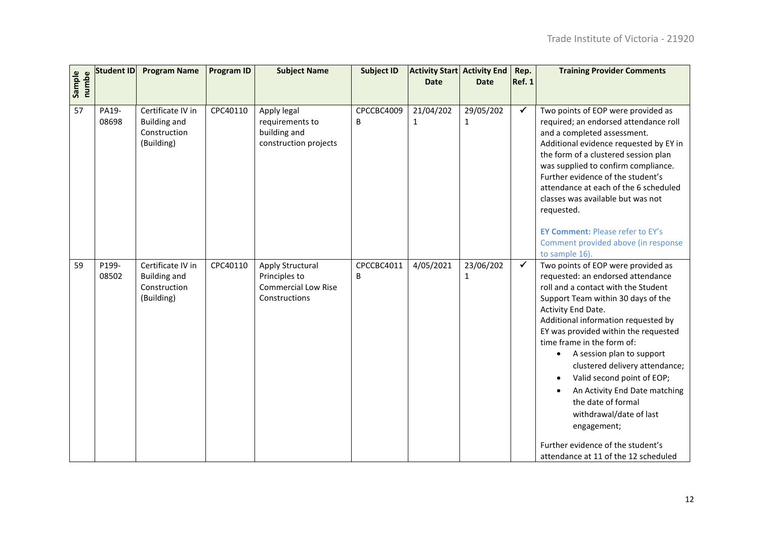| Sample<br>numbe | Student ID     | <b>Program Name</b>                                                    | <b>Program ID</b> | <b>Subject Name</b>                                                              | <b>Subject ID</b> | <b>Activity Start Activity End</b><br><b>Date</b> | <b>Date</b>               | Rep.<br><b>Ref. 1</b> | <b>Training Provider Comments</b>                                                                                                                                                                                                                                                                                                                                                                                                                                                                                                                                  |
|-----------------|----------------|------------------------------------------------------------------------|-------------------|----------------------------------------------------------------------------------|-------------------|---------------------------------------------------|---------------------------|-----------------------|--------------------------------------------------------------------------------------------------------------------------------------------------------------------------------------------------------------------------------------------------------------------------------------------------------------------------------------------------------------------------------------------------------------------------------------------------------------------------------------------------------------------------------------------------------------------|
| 57              | PA19-<br>08698 | Certificate IV in<br><b>Building and</b><br>Construction<br>(Building) | CPC40110          | Apply legal<br>requirements to<br>building and<br>construction projects          | CPCCBC4009<br>B   | 21/04/202<br>$\mathbf{1}$                         | 29/05/202<br>$\mathbf{1}$ | ✓                     | Two points of EOP were provided as<br>required; an endorsed attendance roll<br>and a completed assessment.<br>Additional evidence requested by EY in<br>the form of a clustered session plan<br>was supplied to confirm compliance.<br>Further evidence of the student's<br>attendance at each of the 6 scheduled<br>classes was available but was not<br>requested.<br><b>EY Comment: Please refer to EY's</b><br>Comment provided above (in response<br>to sample 16).                                                                                           |
| 59              | P199-<br>08502 | Certificate IV in<br><b>Building and</b><br>Construction<br>(Building) | CPC40110          | Apply Structural<br>Principles to<br><b>Commercial Low Rise</b><br>Constructions | CPCCBC4011<br>В   | 4/05/2021                                         | 23/06/202<br>1            | $\checkmark$          | Two points of EOP were provided as<br>requested: an endorsed attendance<br>roll and a contact with the Student<br>Support Team within 30 days of the<br>Activity End Date.<br>Additional information requested by<br>EY was provided within the requested<br>time frame in the form of:<br>A session plan to support<br>clustered delivery attendance;<br>Valid second point of EOP;<br>An Activity End Date matching<br>the date of formal<br>withdrawal/date of last<br>engagement;<br>Further evidence of the student's<br>attendance at 11 of the 12 scheduled |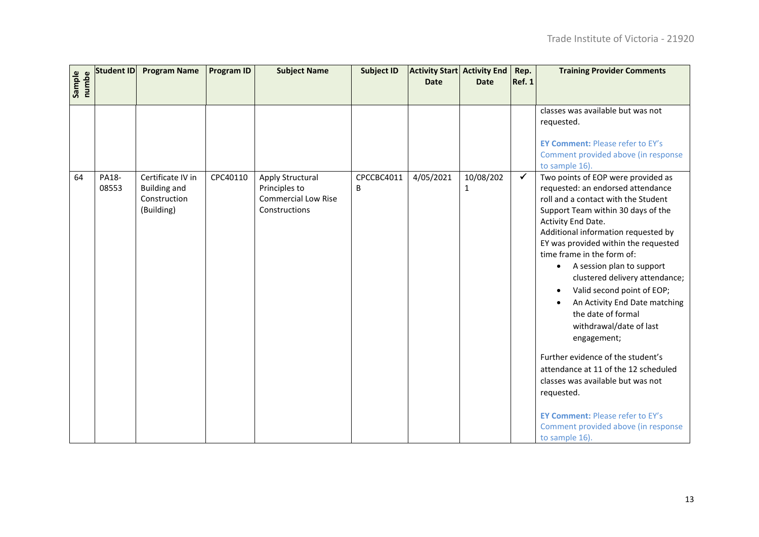|                 | Student ID     | <b>Program Name</b>                                                    | <b>Program ID</b> | <b>Subject Name</b>                                                              | <b>Subject ID</b> | <b>Activity Start Activity End</b><br><b>Date</b> | <b>Date</b>               | Rep.<br><b>Ref. 1</b> | <b>Training Provider Comments</b>                                                                                                                                                                                                                                                                                                                                                                                                                                                                                                                                                                                                                                                                                                                   |
|-----------------|----------------|------------------------------------------------------------------------|-------------------|----------------------------------------------------------------------------------|-------------------|---------------------------------------------------|---------------------------|-----------------------|-----------------------------------------------------------------------------------------------------------------------------------------------------------------------------------------------------------------------------------------------------------------------------------------------------------------------------------------------------------------------------------------------------------------------------------------------------------------------------------------------------------------------------------------------------------------------------------------------------------------------------------------------------------------------------------------------------------------------------------------------------|
| Sample<br>numbe |                |                                                                        |                   |                                                                                  |                   |                                                   |                           |                       |                                                                                                                                                                                                                                                                                                                                                                                                                                                                                                                                                                                                                                                                                                                                                     |
|                 |                |                                                                        |                   |                                                                                  |                   |                                                   |                           |                       | classes was available but was not<br>requested.<br><b>EY Comment: Please refer to EY's</b><br>Comment provided above (in response<br>to sample 16).                                                                                                                                                                                                                                                                                                                                                                                                                                                                                                                                                                                                 |
| 64              | PA18-<br>08553 | Certificate IV in<br><b>Building and</b><br>Construction<br>(Building) | CPC40110          | Apply Structural<br>Principles to<br><b>Commercial Low Rise</b><br>Constructions | CPCCBC4011<br>B   | 4/05/2021                                         | 10/08/202<br>$\mathbf{1}$ | $\checkmark$          | Two points of EOP were provided as<br>requested: an endorsed attendance<br>roll and a contact with the Student<br>Support Team within 30 days of the<br>Activity End Date.<br>Additional information requested by<br>EY was provided within the requested<br>time frame in the form of:<br>A session plan to support<br>$\bullet$<br>clustered delivery attendance;<br>Valid second point of EOP;<br>$\bullet$<br>An Activity End Date matching<br>the date of formal<br>withdrawal/date of last<br>engagement;<br>Further evidence of the student's<br>attendance at 11 of the 12 scheduled<br>classes was available but was not<br>requested.<br><b>EY Comment: Please refer to EY's</b><br>Comment provided above (in response<br>to sample 16). |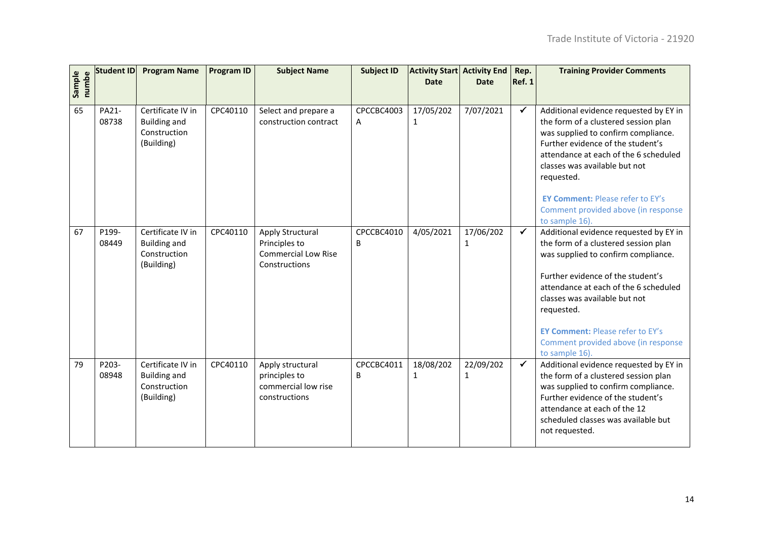| Sample<br>numbe | <b>Student ID</b> | <b>Program Name</b>                                                    | <b>Program ID</b> | <b>Subject Name</b>                                                              | <b>Subject ID</b> | <b>Activity Start Activity End</b><br><b>Date</b> | <b>Date</b>               | Rep.<br><b>Ref. 1</b> | <b>Training Provider Comments</b>                                                                                                                                                                                                                                                                                                                      |
|-----------------|-------------------|------------------------------------------------------------------------|-------------------|----------------------------------------------------------------------------------|-------------------|---------------------------------------------------|---------------------------|-----------------------|--------------------------------------------------------------------------------------------------------------------------------------------------------------------------------------------------------------------------------------------------------------------------------------------------------------------------------------------------------|
| 65              | PA21-<br>08738    | Certificate IV in<br><b>Building and</b><br>Construction<br>(Building) | CPC40110          | Select and prepare a<br>construction contract                                    | CPCCBC4003<br>A   | 17/05/202<br>$\mathbf{1}$                         | 7/07/2021                 | $\checkmark$          | Additional evidence requested by EY in<br>the form of a clustered session plan<br>was supplied to confirm compliance.<br>Further evidence of the student's<br>attendance at each of the 6 scheduled<br>classes was available but not<br>requested.<br><b>EY Comment: Please refer to EY's</b><br>Comment provided above (in response<br>to sample 16). |
| 67              | P199-<br>08449    | Certificate IV in<br><b>Building and</b><br>Construction<br>(Building) | CPC40110          | Apply Structural<br>Principles to<br><b>Commercial Low Rise</b><br>Constructions | CPCCBC4010<br>B   | 4/05/2021                                         | 17/06/202<br>1            | $\checkmark$          | Additional evidence requested by EY in<br>the form of a clustered session plan<br>was supplied to confirm compliance.<br>Further evidence of the student's<br>attendance at each of the 6 scheduled<br>classes was available but not<br>requested.<br><b>EY Comment: Please refer to EY's</b><br>Comment provided above (in response<br>to sample 16). |
| 79              | P203-<br>08948    | Certificate IV in<br><b>Building and</b><br>Construction<br>(Building) | CPC40110          | Apply structural<br>principles to<br>commercial low rise<br>constructions        | CPCCBC4011<br>B   | 18/08/202<br>$\mathbf{1}$                         | 22/09/202<br>$\mathbf{1}$ | $\checkmark$          | Additional evidence requested by EY in<br>the form of a clustered session plan<br>was supplied to confirm compliance.<br>Further evidence of the student's<br>attendance at each of the 12<br>scheduled classes was available but<br>not requested.                                                                                                    |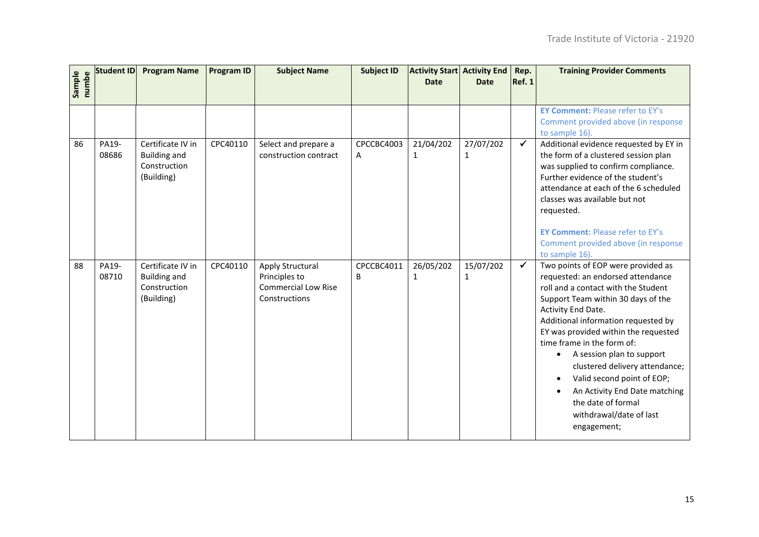| Sample<br>numbe | <b>Student ID</b> | <b>Program Name</b>                                                    | <b>Program ID</b> | <b>Subject Name</b>                                                              | <b>Subject ID</b> | <b>Activity Start Activity End</b><br><b>Date</b> | <b>Date</b>               | Rep.<br><b>Ref. 1</b> | <b>Training Provider Comments</b>                                                                                                                                                                                                                                                                                                                                                                                                                                                                  |
|-----------------|-------------------|------------------------------------------------------------------------|-------------------|----------------------------------------------------------------------------------|-------------------|---------------------------------------------------|---------------------------|-----------------------|----------------------------------------------------------------------------------------------------------------------------------------------------------------------------------------------------------------------------------------------------------------------------------------------------------------------------------------------------------------------------------------------------------------------------------------------------------------------------------------------------|
|                 |                   |                                                                        |                   |                                                                                  |                   |                                                   |                           |                       | <b>EY Comment: Please refer to EY's</b><br>Comment provided above (in response<br>to sample 16).                                                                                                                                                                                                                                                                                                                                                                                                   |
| 86              | PA19-<br>08686    | Certificate IV in<br><b>Building and</b><br>Construction<br>(Building) | CPC40110          | Select and prepare a<br>construction contract                                    | CPCCBC4003<br>A   | 21/04/202<br>1                                    | 27/07/202<br>$\mathbf{1}$ | $\checkmark$          | Additional evidence requested by EY in<br>the form of a clustered session plan<br>was supplied to confirm compliance.<br>Further evidence of the student's<br>attendance at each of the 6 scheduled<br>classes was available but not<br>requested.<br><b>EY Comment: Please refer to EY's</b><br>Comment provided above (in response<br>to sample 16).                                                                                                                                             |
| 88              | PA19-<br>08710    | Certificate IV in<br><b>Building and</b><br>Construction<br>(Building) | CPC40110          | Apply Structural<br>Principles to<br><b>Commercial Low Rise</b><br>Constructions | CPCCBC4011<br>B   | 26/05/202<br>$\mathbf{1}$                         | 15/07/202<br>$\mathbf{1}$ | $\checkmark$          | Two points of EOP were provided as<br>requested: an endorsed attendance<br>roll and a contact with the Student<br>Support Team within 30 days of the<br>Activity End Date.<br>Additional information requested by<br>EY was provided within the requested<br>time frame in the form of:<br>A session plan to support<br>$\bullet$<br>clustered delivery attendance;<br>Valid second point of EOP;<br>An Activity End Date matching<br>the date of formal<br>withdrawal/date of last<br>engagement; |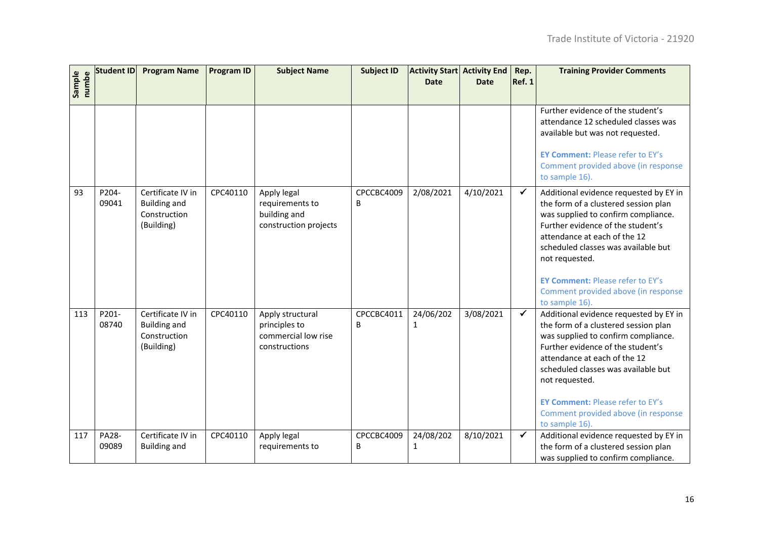| Sample<br>numbe | <b>Student ID</b> | <b>Program Name</b>                                                    | <b>Program ID</b> | <b>Subject Name</b>                                                       | <b>Subject ID</b> | <b>Activity Start Activity End</b><br><b>Date</b> | <b>Date</b> | Rep.<br><b>Ref. 1</b> | <b>Training Provider Comments</b>                                                                                                                                                                                                                                                                                                                       |
|-----------------|-------------------|------------------------------------------------------------------------|-------------------|---------------------------------------------------------------------------|-------------------|---------------------------------------------------|-------------|-----------------------|---------------------------------------------------------------------------------------------------------------------------------------------------------------------------------------------------------------------------------------------------------------------------------------------------------------------------------------------------------|
|                 |                   |                                                                        |                   |                                                                           |                   |                                                   |             |                       |                                                                                                                                                                                                                                                                                                                                                         |
|                 |                   |                                                                        |                   |                                                                           |                   |                                                   |             |                       | Further evidence of the student's<br>attendance 12 scheduled classes was<br>available but was not requested.<br><b>EY Comment: Please refer to EY's</b><br>Comment provided above (in response<br>to sample 16).                                                                                                                                        |
| 93              | P204-<br>09041    | Certificate IV in<br><b>Building and</b><br>Construction<br>(Building) | CPC40110          | Apply legal<br>requirements to<br>building and<br>construction projects   | CPCCBC4009<br>B   | 2/08/2021                                         | 4/10/2021   | $\checkmark$          | Additional evidence requested by EY in<br>the form of a clustered session plan<br>was supplied to confirm compliance.<br>Further evidence of the student's<br>attendance at each of the 12<br>scheduled classes was available but<br>not requested.<br><b>EY Comment: Please refer to EY's</b><br>Comment provided above (in response<br>to sample 16). |
| 113             | P201-<br>08740    | Certificate IV in<br><b>Building and</b><br>Construction<br>(Building) | CPC40110          | Apply structural<br>principles to<br>commercial low rise<br>constructions | CPCCBC4011<br>B   | 24/06/202<br>$\mathbf{1}$                         | 3/08/2021   | $\checkmark$          | Additional evidence requested by EY in<br>the form of a clustered session plan<br>was supplied to confirm compliance.<br>Further evidence of the student's<br>attendance at each of the 12<br>scheduled classes was available but<br>not requested.<br><b>EY Comment: Please refer to EY's</b><br>Comment provided above (in response<br>to sample 16). |
| 117             | PA28-<br>09089    | Certificate IV in<br><b>Building and</b>                               | CPC40110          | Apply legal<br>requirements to                                            | CPCCBC4009<br>B   | 24/08/202<br>$\mathbf{1}$                         | 8/10/2021   | $\checkmark$          | Additional evidence requested by EY in<br>the form of a clustered session plan<br>was supplied to confirm compliance.                                                                                                                                                                                                                                   |